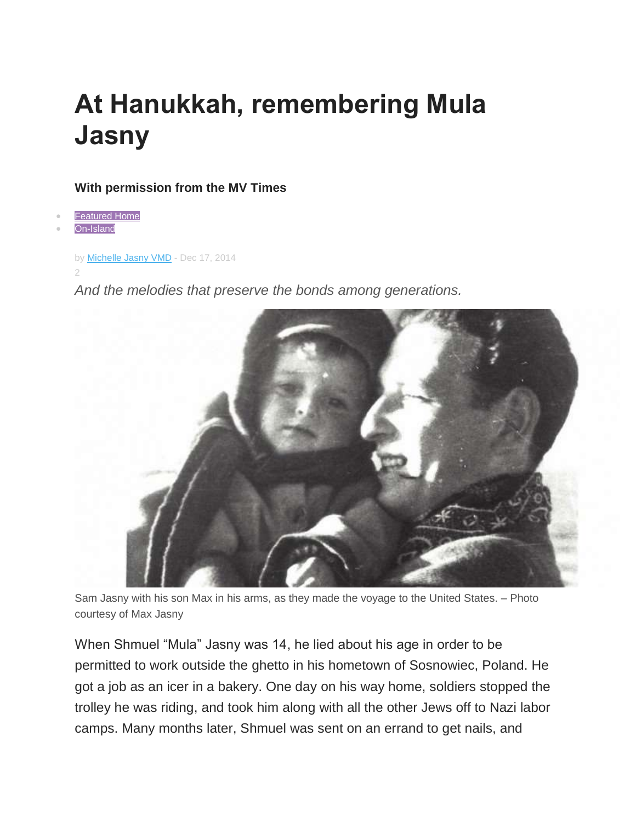## **At Hanukkah, remembering Mula Jasny**

## **With permission from the MV Times**

**[Featured Home](http://www.mvtimes.com/category/featured-home/)** 

[On-Island](http://www.mvtimes.com/category/on-island/)

```
by Michelle Jasny VMD - Dec 17, 2014
```
2

*And the melodies that preserve the bonds among generations.*



Sam Jasny with his son Max in his arms, as they made the voyage to the United States. – Photo courtesy of Max Jasny

When Shmuel "Mula" Jasny was 14, he lied about his age in order to be permitted to work outside the ghetto in his hometown of Sosnowiec, Poland. He got a job as an icer in a bakery. One day on his way home, soldiers stopped the trolley he was riding, and took him along with all the other Jews off to Nazi labor camps. Many months later, Shmuel was sent on an errand to get nails, and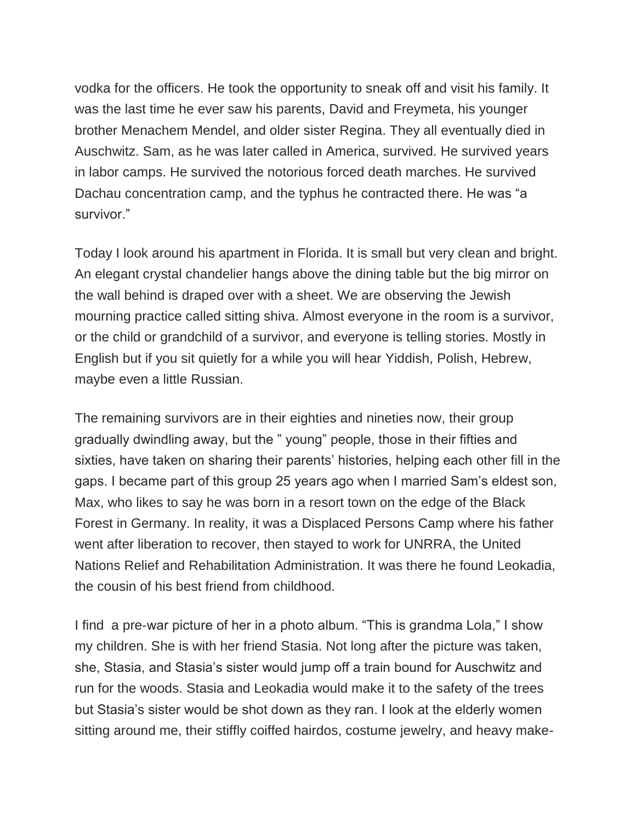vodka for the officers. He took the opportunity to sneak off and visit his family. It was the last time he ever saw his parents, David and Freymeta, his younger brother Menachem Mendel, and older sister Regina. They all eventually died in Auschwitz. Sam, as he was later called in America, survived. He survived years in labor camps. He survived the notorious forced death marches. He survived Dachau concentration camp, and the typhus he contracted there. He was "a survivor."

Today I look around his apartment in Florida. It is small but very clean and bright. An elegant crystal chandelier hangs above the dining table but the big mirror on the wall behind is draped over with a sheet. We are observing the Jewish mourning practice called sitting shiva. Almost everyone in the room is a survivor, or the child or grandchild of a survivor, and everyone is telling stories. Mostly in English but if you sit quietly for a while you will hear Yiddish, Polish, Hebrew, maybe even a little Russian.

The remaining survivors are in their eighties and nineties now, their group gradually dwindling away, but the " young" people, those in their fifties and sixties, have taken on sharing their parents' histories, helping each other fill in the gaps. I became part of this group 25 years ago when I married Sam's eldest son, Max, who likes to say he was born in a resort town on the edge of the Black Forest in Germany. In reality, it was a Displaced Persons Camp where his father went after liberation to recover, then stayed to work for UNRRA, the United Nations Relief and Rehabilitation Administration. It was there he found Leokadia, the cousin of his best friend from childhood.

I find a pre-war picture of her in a photo album. "This is grandma Lola," I show my children. She is with her friend Stasia. Not long after the picture was taken, she, Stasia, and Stasia's sister would jump off a train bound for Auschwitz and run for the woods. Stasia and Leokadia would make it to the safety of the trees but Stasia's sister would be shot down as they ran. I look at the elderly women sitting around me, their stiffly coiffed hairdos, costume jewelry, and heavy make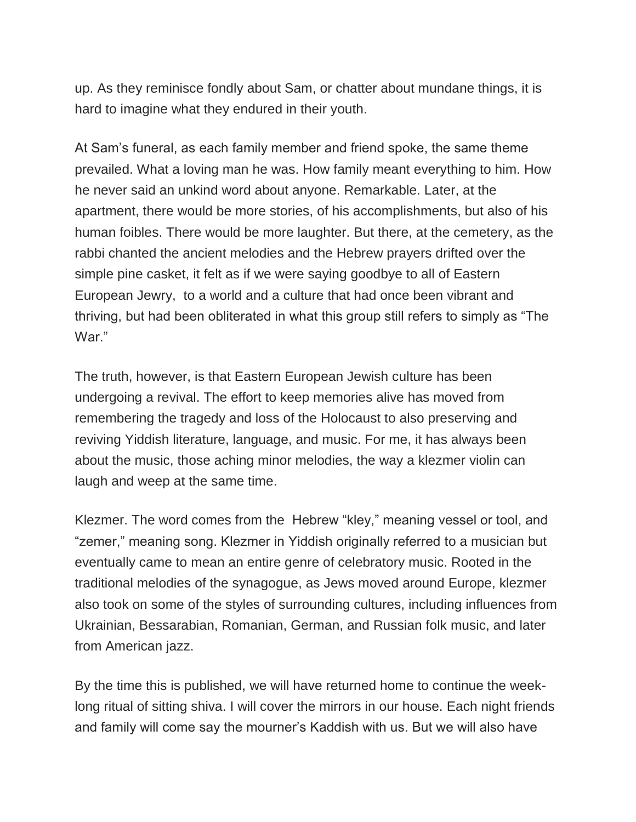up. As they reminisce fondly about Sam, or chatter about mundane things, it is hard to imagine what they endured in their youth.

At Sam's funeral, as each family member and friend spoke, the same theme prevailed. What a loving man he was. How family meant everything to him. How he never said an unkind word about anyone. Remarkable. Later, at the apartment, there would be more stories, of his accomplishments, but also of his human foibles. There would be more laughter. But there, at the cemetery, as the rabbi chanted the ancient melodies and the Hebrew prayers drifted over the simple pine casket, it felt as if we were saying goodbye to all of Eastern European Jewry, to a world and a culture that had once been vibrant and thriving, but had been obliterated in what this group still refers to simply as "The War."

The truth, however, is that Eastern European Jewish culture has been undergoing a revival. The effort to keep memories alive has moved from remembering the tragedy and loss of the Holocaust to also preserving and reviving Yiddish literature, language, and music. For me, it has always been about the music, those aching minor melodies, the way a klezmer violin can laugh and weep at the same time.

Klezmer. The word comes from the Hebrew "kley," meaning vessel or tool, and "zemer," meaning song. Klezmer in Yiddish originally referred to a musician but eventually came to mean an entire genre of celebratory music. Rooted in the traditional melodies of the synagogue, as Jews moved around Europe, klezmer also took on some of the styles of surrounding cultures, including influences from Ukrainian, Bessarabian, Romanian, German, and Russian folk music, and later from American jazz.

By the time this is published, we will have returned home to continue the weeklong ritual of sitting shiva. I will cover the mirrors in our house. Each night friends and family will come say the mourner's Kaddish with us. But we will also have